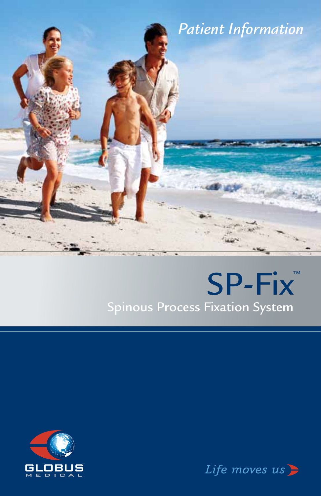

# SP-Fix<sup>™</sup> Spinous Process Fixation System



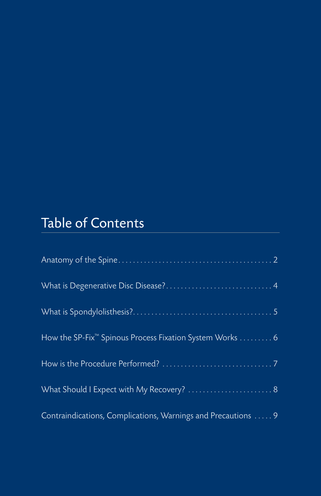## Table of Contents

| How the SP-Fix <sup>™</sup> Spinous Process Fixation System Works 6 |  |
|---------------------------------------------------------------------|--|
|                                                                     |  |
| What Should I Expect with My Recovery?  8                           |  |
| Contraindications, Complications, Warnings and Precautions  9       |  |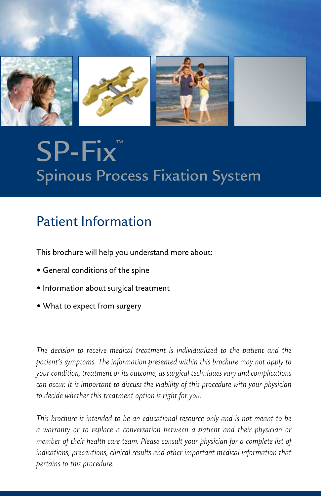

# SP-Fix<sup>™</sup> Spinous Process Fixation System

### Patient Information

This brochure will help you understand more about:

- General conditions of the spine
- Information about surgical treatment
- What to expect from surgery

*The decision to receive medical treatment is individualized to the patient and the patient's symptoms. The information presented within this brochure may not apply to your condition, treatment or its outcome, as surgical techniques vary and complications can occur. It is important to discuss the viability of this procedure with your physician to decide whether this treatment option is right for you.* 

*This brochure is intended to be an educational resource only and is not meant to be a warranty or to replace a conversation between a patient and their physician or member of their health care team. Please consult your physician for a complete list of indications, precautions, clinical results and other important medical information that pertains to this procedure.*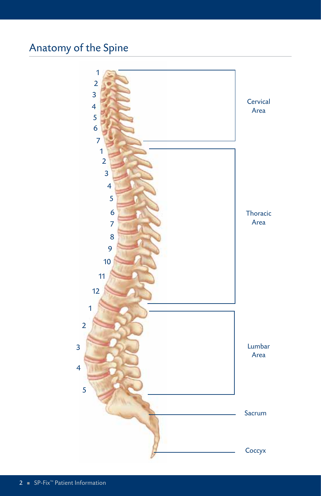### Anatomy of the Spine

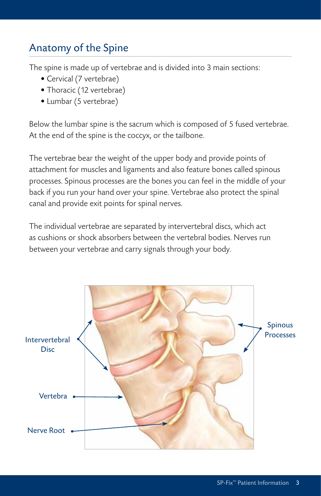#### Anatomy of the Spine

The spine is made up of vertebrae and is divided into 3 main sections:

- Cervical (7 vertebrae)
- Thoracic (12 vertebrae)
- Lumbar (5 vertebrae)

Below the lumbar spine is the sacrum which is composed of 5 fused vertebrae. At the end of the spine is the coccyx, or the tailbone.

The vertebrae bear the weight of the upper body and provide points of attachment for muscles and ligaments and also feature bones called spinous processes. Spinous processes are the bones you can feel in the middle of your back if you run your hand over your spine. Vertebrae also protect the spinal canal and provide exit points for spinal nerves.

The individual vertebrae are separated by intervertebral discs, which act as cushions or shock absorbers between the vertebral bodies. Nerves run between your vertebrae and carry signals through your body.

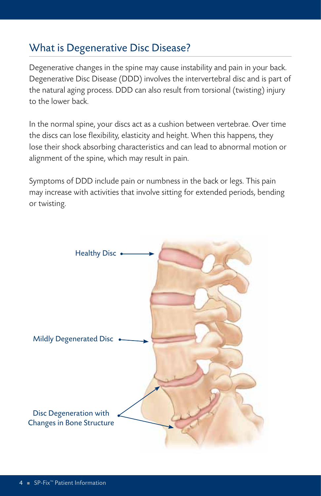#### What is Degenerative Disc Disease?

Degenerative changes in the spine may cause instability and pain in your back. Degenerative Disc Disease (DDD) involves the intervertebral disc and is part of the natural aging process. DDD can also result from torsional (twisting) injury to the lower back.

In the normal spine, your discs act as a cushion between vertebrae. Over time the discs can lose flexibility, elasticity and height. When this happens, they lose their shock absorbing characteristics and can lead to abnormal motion or alignment of the spine, which may result in pain.

Symptoms of DDD include pain or numbness in the back or legs. This pain may increase with activities that involve sitting for extended periods, bending or twisting.

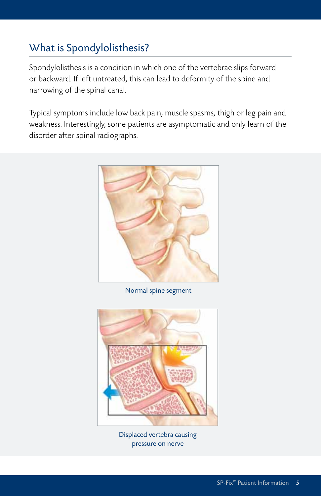#### What is Spondylolisthesis?

Spondylolisthesis is a condition in which one of the vertebrae slips forward or backward. If left untreated, this can lead to deformity of the spine and narrowing of the spinal canal.

Typical symptoms include low back pain, muscle spasms, thigh or leg pain and weakness. Interestingly, some patients are asymptomatic and only learn of the disorder after spinal radiographs.



Normal spine segment



Displaced vertebra causing pressure on nerve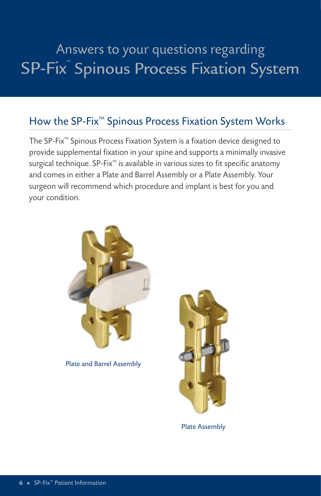## Answers to your questions regarding SP-Fix™ Spinous Process Fixation System

#### How the SP-Fix™ Spinous Process Fixation System Works

The SP-Fix™ Spinous Process Fixation System is a fixation device designed to provide supplemental fixation in your spine and supports a minimally invasive surgical technique. SP-Fix™ is available in various sizes to fit specific anatomy and comes in either a Plate and Barrel Assembly or a Plate Assembly. Your surgeon will recommend which procedure and implant is best for you and your condition.



Plate and Barrel Assembly



Plate Assembly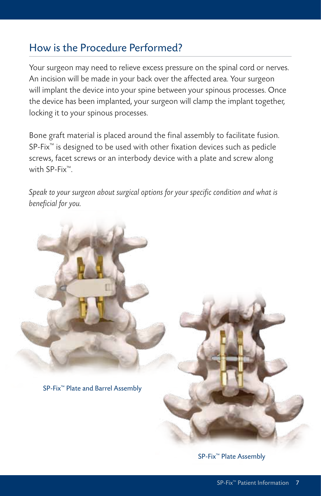#### How is the Procedure Performed?

Your surgeon may need to relieve excess pressure on the spinal cord or nerves. An incision will be made in your back over the affected area. Your surgeon will implant the device into your spine between your spinous processes. Once the device has been implanted, your surgeon will clamp the implant together, locking it to your spinous processes.

Bone graft material is placed around the final assembly to facilitate fusion. SP-Fix<sup>™</sup> is designed to be used with other fixation devices such as pedicle screws, facet screws or an interbody device with a plate and screw along with SP-Fix<sup>™</sup>

*Speak to your surgeon about surgical options for your specific condition and what is beneficial for you.*



SP-Fix™ Plate Assembly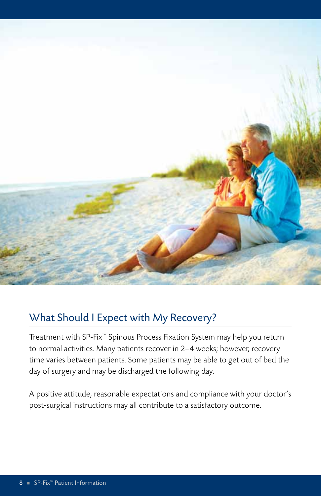

#### What Should I Expect with My Recovery?

Treatment with SP-Fix™ Spinous Process Fixation System may help you return to normal activities. Many patients recover in 2–4 weeks; however, recovery time varies between patients. Some patients may be able to get out of bed the day of surgery and may be discharged the following day.

A positive attitude, reasonable expectations and compliance with your doctor's post-surgical instructions may all contribute to a satisfactory outcome.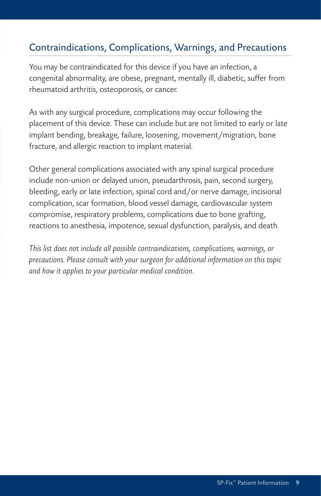#### Contraindications, Complications, Warnings, and Precautions

You may be contraindicated for this device if you have an infection, a congenital abnormality, are obese, pregnant, mentally ill, diabetic, suffer from rheumatoid arthritis, osteoporosis, or cancer.

As with any surgical procedure, complications may occur following the placement of this device. These can include but are not limited to early or late implant bending, breakage, failure, loosening, movement/migration, bone fracture, and allergic reaction to implant material.

Other general complications associated with any spinal surgical procedure include non-union or delayed union, pseudarthrosis, pain, second surgery, bleeding, early or late infection, spinal cord and/or nerve damage, incisional complication, scar formation, blood vessel damage, cardiovascular system compromise, respiratory problems, complications due to bone grafting, reactions to anesthesia, impotence, sexual dysfunction, paralysis, and death.

*This list does not include all possible contraindications, complications, warnings, or precautions. Please consult with your surgeon for additional information on this topic and how it applies to your particular medical condition.*